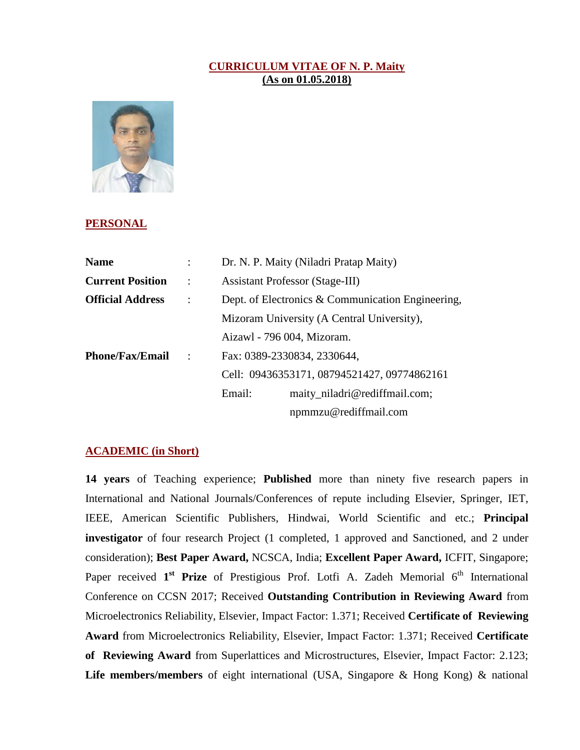## **CURRICULUM VITAE OF N. P. Maity (As on 01.05.2018)**



## **PERSONAL**

| <b>Name</b>             |                | Dr. N. P. Maity (Niladri Pratap Maity)                                     |                               |
|-------------------------|----------------|----------------------------------------------------------------------------|-------------------------------|
| <b>Current Position</b> | $\ddot{\cdot}$ | <b>Assistant Professor (Stage-III)</b>                                     |                               |
| <b>Official Address</b> | $\cdot$        | Dept. of Electronics & Communication Engineering,                          |                               |
|                         |                | Mizoram University (A Central University),<br>Aizawl - 796 004, Mizoram.   |                               |
|                         |                |                                                                            |                               |
| <b>Phone/Fax/Email</b>  | $\cdot$ :      | Fax: 0389-2330834, 2330644,<br>Cell: 09436353171, 08794521427, 09774862161 |                               |
|                         |                |                                                                            |                               |
|                         |                | Email:                                                                     | maity_niladri@rediffmail.com; |
|                         |                |                                                                            | npmmzu@rediffmail.com         |

## **ACADEMIC (in Short)**

**14 years** of Teaching experience; **Published** more than ninety five research papers in International and National Journals/Conferences of repute including Elsevier, Springer, IET, IEEE, American Scientific Publishers, Hindwai, World Scientific and etc.; **Principal investigator** of four research Project (1 completed, 1 approved and Sanctioned, and 2 under consideration); **Best Paper Award,** NCSCA, India; **Excellent Paper Award,** ICFIT, Singapore; Paper received 1<sup>st</sup> Prize of Prestigious Prof. Lotfi A. Zadeh Memorial 6<sup>th</sup> International Conference on CCSN 2017; Received **Outstanding Contribution in Reviewing Award** from Microelectronics Reliability, Elsevier, Impact Factor: 1.371; Received **Certificate of Reviewing Award** from Microelectronics Reliability, Elsevier, Impact Factor: 1.371; Received **Certificate of Reviewing Award** from Superlattices and Microstructures, Elsevier, Impact Factor: 2.123; **Life members/members** of eight international (USA, Singapore & Hong Kong) & national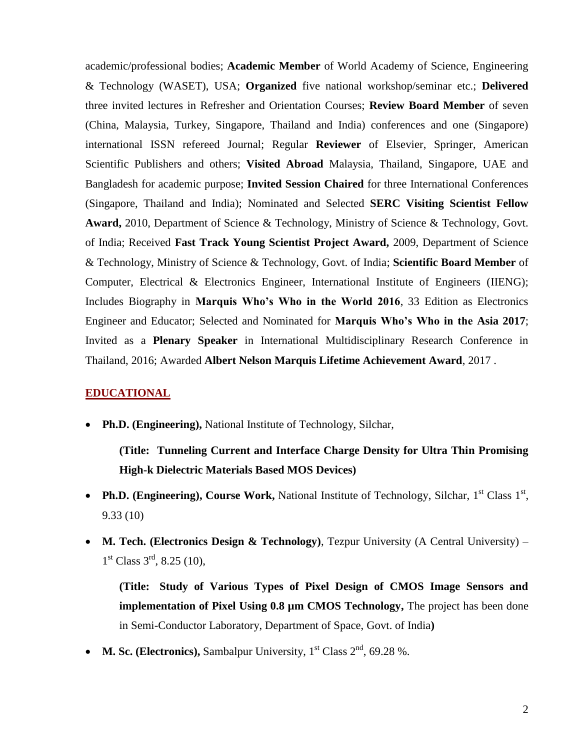academic/professional bodies; **Academic Member** of World Academy of Science, Engineering & Technology (WASET), USA; **Organized** five national workshop/seminar etc.; **Delivered** three invited lectures in Refresher and Orientation Courses; **Review Board Member** of seven (China, Malaysia, Turkey, Singapore, Thailand and India) conferences and one (Singapore) international ISSN refereed Journal; Regular **Reviewer** of Elsevier, Springer, American Scientific Publishers and others; **Visited Abroad** Malaysia, Thailand, Singapore, UAE and Bangladesh for academic purpose; **Invited Session Chaired** for three International Conferences (Singapore, Thailand and India); Nominated and Selected **SERC Visiting Scientist Fellow Award,** 2010, Department of Science & Technology, Ministry of Science & Technology, Govt. of India; Received **Fast Track Young Scientist Project Award,** 2009, Department of Science & Technology, Ministry of Science & Technology, Govt. of India; **Scientific Board Member** of Computer, Electrical & Electronics Engineer, International Institute of Engineers (IIENG); Includes Biography in **Marquis Who's Who in the World 2016**, 33 Edition as Electronics Engineer and Educator; Selected and Nominated for **Marquis Who's Who in the Asia 2017**; Invited as a **Plenary Speaker** in International Multidisciplinary Research Conference in Thailand, 2016; Awarded **Albert Nelson Marquis Lifetime Achievement Award**, 2017 .

## **EDUCATIONAL**

**Ph.D. (Engineering),** National Institute of Technology, Silchar,

**(Title: Tunneling Current and Interface Charge Density for Ultra Thin Promising High-k Dielectric Materials Based MOS Devices)**

- Ph.D. (Engineering), Course Work, National Institute of Technology, Silchar, 1<sup>st</sup> Class 1<sup>st</sup>, 9.33 (10)
- **M. Tech. (Electronics Design & Technology)**, Tezpur University (A Central University)  $1<sup>st</sup> Class 3<sup>rd</sup>, 8.25 (10),$

**(Title: Study of Various Types of Pixel Design of CMOS Image Sensors and implementation of Pixel Using 0.8**  $\mu$ **m CMOS Technology,** The project has been done in Semi-Conductor Laboratory, Department of Space, Govt. of India**)**

• **M. Sc. (Electronics),** Sambalpur University,  $1<sup>st</sup>$  Class  $2<sup>nd</sup>$ , 69.28 %.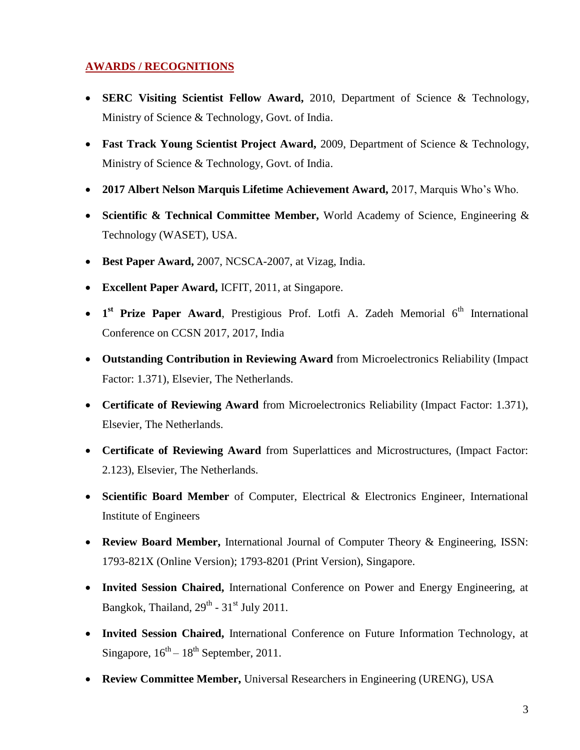# **AWARDS / RECOGNITIONS**

- **SERC Visiting Scientist Fellow Award,** 2010, Department of Science & Technology, Ministry of Science & Technology, Govt. of India.
- **Fast Track Young Scientist Project Award,** 2009, Department of Science & Technology, Ministry of Science & Technology, Govt. of India.
- **2017 Albert Nelson Marquis Lifetime Achievement Award,** 2017, Marquis Who's Who.
- **Scientific & Technical Committee Member,** World Academy of Science, Engineering & Technology (WASET), USA.
- **Best Paper Award,** 2007, NCSCA-2007, at Vizag, India.
- **Excellent Paper Award,** ICFIT, 2011, at Singapore.
- **1**<sup>st</sup> Prize Paper Award, Prestigious Prof. Lotfi A. Zadeh Memorial 6<sup>th</sup> International Conference on CCSN 2017, 2017, India
- **Outstanding Contribution in Reviewing Award** from Microelectronics Reliability (Impact Factor: 1.371), Elsevier, The Netherlands.
- **Certificate of Reviewing Award** from Microelectronics Reliability (Impact Factor: 1.371), Elsevier, The Netherlands.
- **Certificate of Reviewing Award** from Superlattices and Microstructures, (Impact Factor: 2.123), Elsevier, The Netherlands.
- **Scientific Board Member** of Computer, Electrical & Electronics Engineer, International Institute of Engineers
- **Review Board Member,** International Journal of Computer Theory & Engineering, ISSN: 1793-821X (Online Version); 1793-8201 (Print Version), Singapore.
- **Invited Session Chaired,** International Conference on Power and Energy Engineering, at Bangkok, Thailand,  $29<sup>th</sup>$  -  $31<sup>st</sup>$  July 2011.
- **Invited Session Chaired,** International Conference on Future Information Technology, at Singapore,  $16^{th} - 18^{th}$  September, 2011.
- **Review Committee Member,** Universal Researchers in Engineering (URENG), USA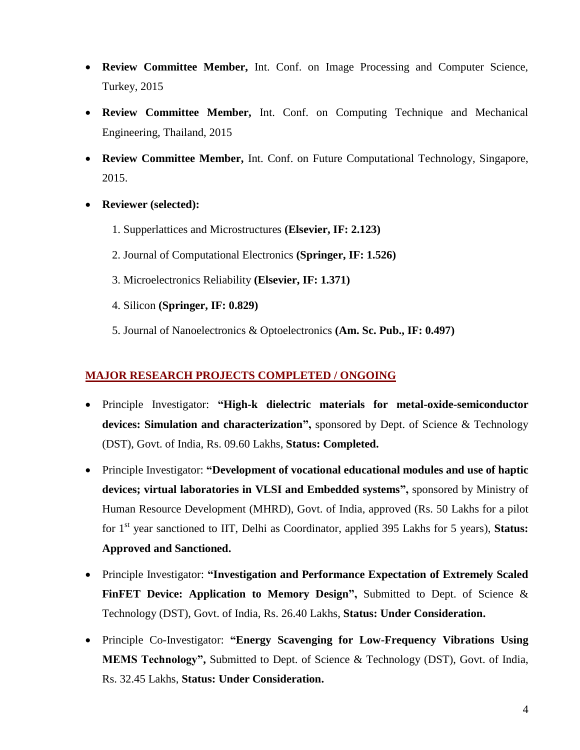- **Review Committee Member,** Int. Conf. on Image Processing and Computer Science, Turkey, 2015
- **Review Committee Member,** Int. Conf. on Computing Technique and Mechanical Engineering, Thailand, 2015
- **Review Committee Member,** Int. Conf. on Future Computational Technology, Singapore, 2015.
- **Reviewer (selected):** 
	- 1. Supperlattices and Microstructures **(Elsevier, IF: 2.123)**
	- 2. Journal of Computational Electronics **(Springer, IF: 1.526)**
	- 3. Microelectronics Reliability **(Elsevier, IF: 1.371)**
	- 4. Silicon **(Springer, IF: 0.829)**
	- 5. Journal of Nanoelectronics & Optoelectronics **(Am. Sc. Pub., IF: 0.497)**

## **MAJOR RESEARCH PROJECTS COMPLETED / ONGOING**

- Principle Investigator: **"High-k dielectric materials for metal-oxide-semiconductor devices: Simulation and characterization",** sponsored by Dept. of Science & Technology (DST), Govt. of India, Rs. 09.60 Lakhs, **Status: Completed.**
- Principle Investigator: **"Development of vocational educational modules and use of haptic devices; virtual laboratories in VLSI and Embedded systems",** sponsored by Ministry of Human Resource Development (MHRD), Govt. of India, approved (Rs. 50 Lakhs for a pilot for 1st year sanctioned to IIT, Delhi as Coordinator, applied 395 Lakhs for 5 years), **Status: Approved and Sanctioned.**
- Principle Investigator: **"Investigation and Performance Expectation of Extremely Scaled FinFET Device: Application to Memory Design",** Submitted to Dept. of Science & Technology (DST), Govt. of India, Rs. 26.40 Lakhs, **Status: Under Consideration.**
- Principle Co-Investigator: **"Energy Scavenging for Low-Frequency Vibrations Using MEMS Technology",** Submitted to Dept. of Science & Technology (DST), Govt. of India, Rs. 32.45 Lakhs, **Status: Under Consideration.**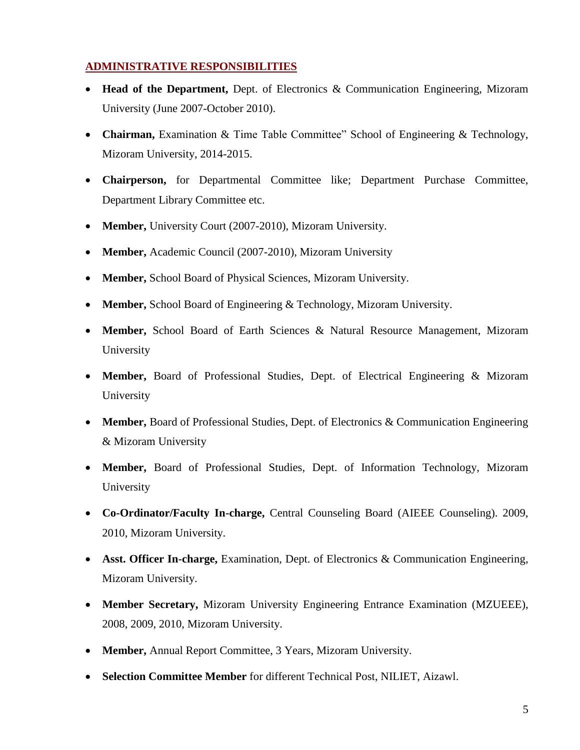# **ADMINISTRATIVE RESPONSIBILITIES**

- **Head of the Department,** Dept. of Electronics & Communication Engineering, Mizoram University (June 2007-October 2010).
- **Chairman,** Examination & Time Table Committee" School of Engineering & Technology, Mizoram University, 2014-2015.
- **Chairperson,** for Departmental Committee like; Department Purchase Committee, Department Library Committee etc.
- **Member,** University Court (2007-2010), Mizoram University.
- **Member,** Academic Council (2007-2010), Mizoram University
- **Member,** School Board of Physical Sciences, Mizoram University.
- **Member,** School Board of Engineering & Technology, Mizoram University.
- **Member,** School Board of Earth Sciences & Natural Resource Management, Mizoram University
- **Member,** Board of Professional Studies, Dept. of Electrical Engineering & Mizoram University
- **Member,** Board of Professional Studies, Dept. of Electronics & Communication Engineering & Mizoram University
- **Member,** Board of Professional Studies, Dept. of Information Technology, Mizoram University
- **Co-Ordinator/Faculty In-charge,** Central Counseling Board (AIEEE Counseling). 2009, 2010, Mizoram University.
- **Asst. Officer In-charge,** Examination, Dept. of Electronics & Communication Engineering, Mizoram University.
- **Member Secretary,** Mizoram University Engineering Entrance Examination (MZUEEE), 2008, 2009, 2010, Mizoram University.
- **Member,** Annual Report Committee, 3 Years, Mizoram University.
- **Selection Committee Member** for different Technical Post, NILIET, Aizawl.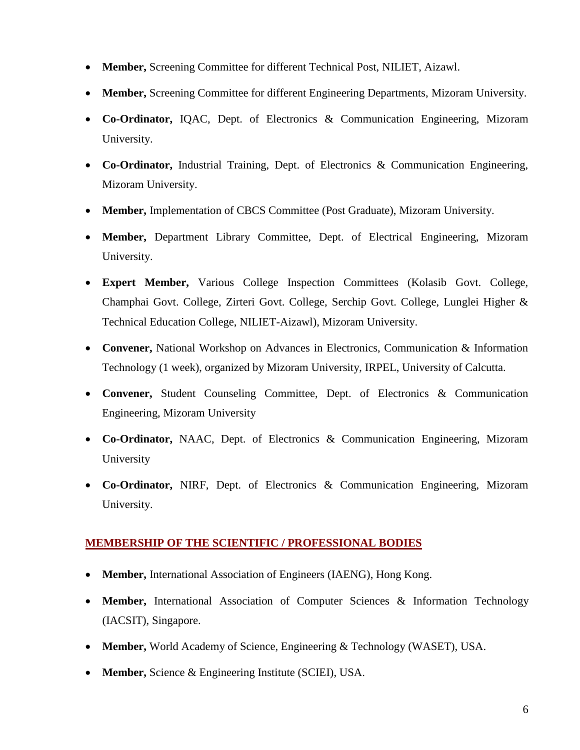- **Member,** Screening Committee for different Technical Post, NILIET, Aizawl.
- **Member,** Screening Committee for different Engineering Departments, Mizoram University.
- **Co-Ordinator,** IQAC, Dept. of Electronics & Communication Engineering, Mizoram University.
- **Co-Ordinator,** Industrial Training, Dept. of Electronics & Communication Engineering, Mizoram University.
- **Member,** Implementation of CBCS Committee (Post Graduate), Mizoram University.
- **Member,** Department Library Committee, Dept. of Electrical Engineering, Mizoram University.
- **Expert Member,** Various College Inspection Committees (Kolasib Govt. College, Champhai Govt. College, Zirteri Govt. College, Serchip Govt. College, Lunglei Higher & Technical Education College, NILIET-Aizawl), Mizoram University.
- **Convener,** National Workshop on Advances in Electronics, Communication & Information Technology (1 week), organized by Mizoram University, IRPEL, University of Calcutta.
- **Convener,** Student Counseling Committee, Dept. of Electronics & Communication Engineering, Mizoram University
- **Co-Ordinator,** NAAC, Dept. of Electronics & Communication Engineering, Mizoram University
- **Co-Ordinator,** NIRF, Dept. of Electronics & Communication Engineering, Mizoram University.

## **MEMBERSHIP OF THE SCIENTIFIC / PROFESSIONAL BODIES**

- **Member,** International Association of Engineers (IAENG), Hong Kong.
- **Member,** International Association of Computer Sciences & Information Technology (IACSIT), Singapore.
- **Member,** World Academy of Science, Engineering & Technology (WASET), USA.
- **Member,** Science & Engineering Institute (SCIEI), USA.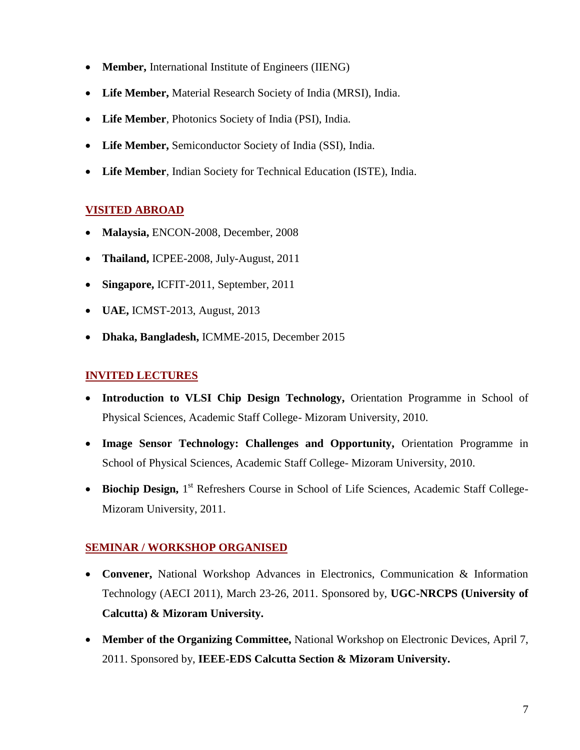- **Member,** International Institute of Engineers (IIENG)
- **Life Member,** Material Research Society of India (MRSI), India.
- **Life Member**, Photonics Society of India (PSI), India.
- **Life Member,** Semiconductor Society of India (SSI), India.
- **Life Member**, Indian Society for Technical Education (ISTE), India.

# **VISITED ABROAD**

- **Malaysia,** ENCON-2008, December, 2008
- **Thailand,** ICPEE-2008, July-August, 2011
- **Singapore,** ICFIT-2011, September, 2011
- **UAE,** ICMST-2013, August, 2013
- **Dhaka, Bangladesh,** ICMME-2015, December 2015

# **INVITED LECTURES**

- **Introduction to VLSI Chip Design Technology,** Orientation Programme in School of Physical Sciences, Academic Staff College- Mizoram University, 2010.
- **Image Sensor Technology: Challenges and Opportunity,** Orientation Programme in School of Physical Sciences, Academic Staff College- Mizoram University, 2010.
- **Biochip Design,** 1<sup>st</sup> Refreshers Course in School of Life Sciences, Academic Staff College-Mizoram University, 2011.

## **SEMINAR / WORKSHOP ORGANISED**

- **Convener,** National Workshop Advances in Electronics, Communication & Information Technology (AECI 2011), March 23-26, 2011. Sponsored by, **UGC-NRCPS (University of Calcutta) & Mizoram University.**
- **Member of the Organizing Committee,** National Workshop on Electronic Devices, April 7, 2011. Sponsored by, **IEEE-EDS Calcutta Section & Mizoram University.**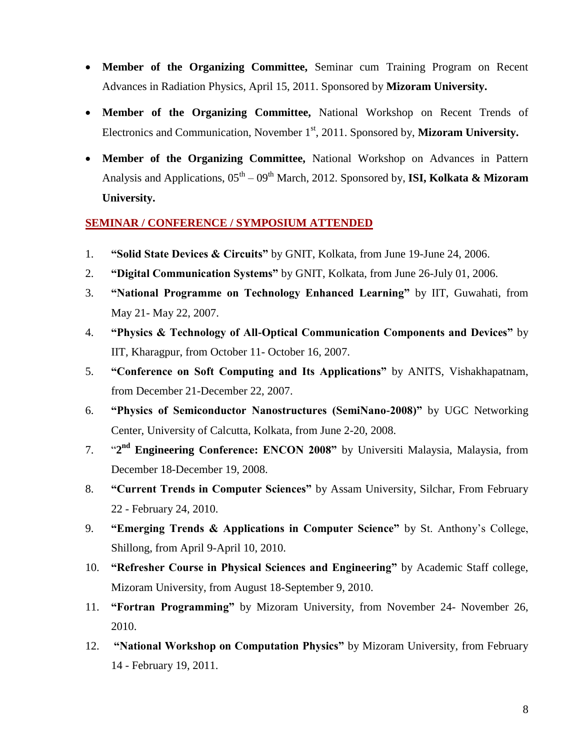- **Member of the Organizing Committee,** Seminar cum Training Program on Recent Advances in Radiation Physics, April 15, 2011. Sponsored by **Mizoram University.**
- **Member of the Organizing Committee,** National Workshop on Recent Trends of Electronics and Communication, November 1<sup>st</sup>, 2011. Sponsored by, **Mizoram University.**
- **Member of the Organizing Committee,** National Workshop on Advances in Pattern Analysis and Applications, 05<sup>th</sup> – 09<sup>th</sup> March, 2012. Sponsored by, **ISI, Kolkata & Mizoram University.**

## **SEMINAR / CONFERENCE / SYMPOSIUM ATTENDED**

- 1. **"Solid State Devices & Circuits"** by GNIT, Kolkata, from June 19-June 24, 2006.
- 2. **"Digital Communication Systems"** by GNIT, Kolkata, from June 26-July 01, 2006.
- 3. **"National Programme on Technology Enhanced Learning"** by IIT, Guwahati, from May 21- May 22, 2007.
- 4. **"Physics & Technology of All-Optical Communication Components and Devices"** by IIT, Kharagpur, from October 11- October 16, 2007.
- 5. **"Conference on Soft Computing and Its Applications"** by ANITS, Vishakhapatnam, from December 21-December 22, 2007.
- 6. **"Physics of Semiconductor Nanostructures (SemiNano-2008)"** by UGC Networking Center, University of Calcutta, Kolkata, from June 2-20, 2008.
- 7. "**2 nd Engineering Conference: ENCON 2008"** by Universiti Malaysia, Malaysia, from December 18-December 19, 2008.
- 8. **"Current Trends in Computer Sciences"** by Assam University, Silchar, From February 22 - February 24, 2010.
- 9. **"Emerging Trends & Applications in Computer Science"** by St. Anthony's College, Shillong, from April 9-April 10, 2010.
- 10. **"Refresher Course in Physical Sciences and Engineering"** by Academic Staff college, Mizoram University, from August 18-September 9, 2010.
- 11. **"Fortran Programming"** by Mizoram University, from November 24- November 26, 2010.
- 12. **"National Workshop on Computation Physics"** by Mizoram University, from February 14 - February 19, 2011.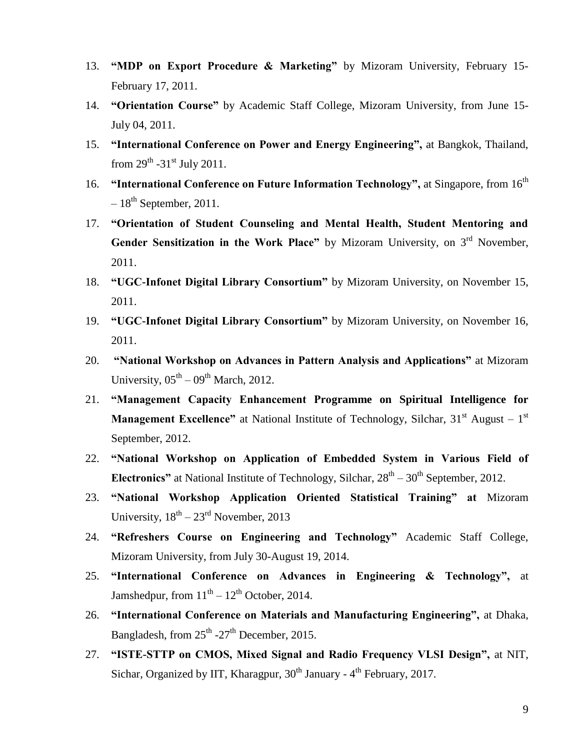- 13. **"MDP on Export Procedure & Marketing"** by Mizoram University, February 15- February 17, 2011.
- 14. **"Orientation Course"** by Academic Staff College, Mizoram University, from June 15- July 04, 2011.
- 15. **"International Conference on Power and Energy Engineering",** at Bangkok, Thailand, from  $29^{\text{th}}$  -31<sup>st</sup> July 2011.
- 16. **"International Conference on Future Information Technology",** at Singapore, from 16th  $-18^{th}$  September, 2011.
- 17. **"Orientation of Student Counseling and Mental Health, Student Mentoring and**  Gender Sensitization in the Work Place" by Mizoram University, on 3<sup>rd</sup> November, 2011.
- 18. **"UGC-Infonet Digital Library Consortium"** by Mizoram University, on November 15, 2011.
- 19. **"UGC-Infonet Digital Library Consortium"** by Mizoram University, on November 16, 2011.
- 20. **"National Workshop on Advances in Pattern Analysis and Applications"** at Mizoram University,  $05<sup>th</sup> - 09<sup>th</sup>$  March, 2012.
- 21. **"Management Capacity Enhancement Programme on Spiritual Intelligence for Management Excellence"** at National Institute of Technology, Silchar,  $31<sup>st</sup>$  August –  $1<sup>st</sup>$ September, 2012.
- 22. **"National Workshop on Application of Embedded System in Various Field of**  Electronics" at National Institute of Technology, Silchar,  $28<sup>th</sup> - 30<sup>th</sup>$  September, 2012.
- 23. **"National Workshop Application Oriented Statistical Training" at** Mizoram University,  $18^{th} - 23^{rd}$  November, 2013
- 24. **"Refreshers Course on Engineering and Technology"** Academic Staff College, Mizoram University, from July 30-August 19, 2014.
- 25. **"International Conference on Advances in Engineering & Technology",** at Jamshedpur, from  $11<sup>th</sup> - 12<sup>th</sup>$  October, 2014.
- 26. **"International Conference on Materials and Manufacturing Engineering",** at Dhaka, Bangladesh, from 25<sup>th</sup> -27<sup>th</sup> December, 2015.
- 27. **"ISTE-STTP on CMOS, Mixed Signal and Radio Frequency VLSI Design",** at NIT, Sichar, Organized by IIT, Kharagpur, 30<sup>th</sup> January - 4<sup>th</sup> February, 2017.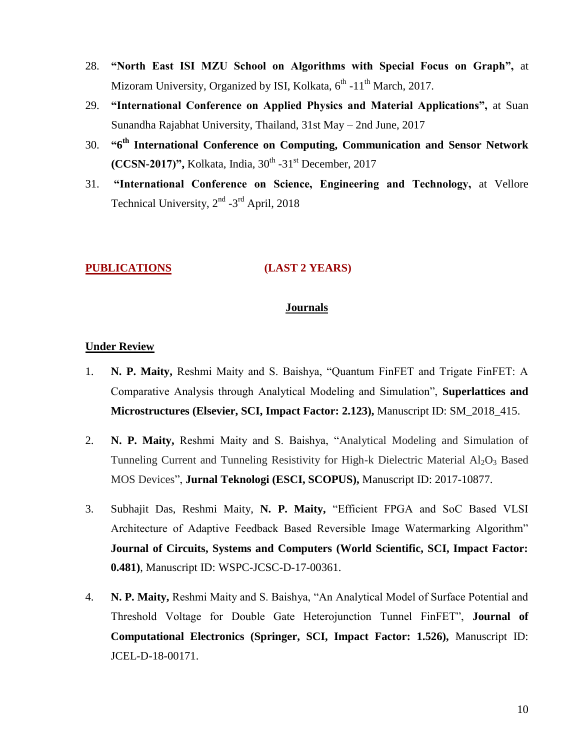- 28. **"North East ISI MZU School on Algorithms with Special Focus on Graph",** at Mizoram University, Organized by ISI, Kolkata, 6<sup>th</sup> -11<sup>th</sup> March, 2017.
- 29. **"International Conference on Applied Physics and Material Applications",** at Suan Sunandha Rajabhat University, Thailand, 31st May – 2nd June, 2017
- 30. **"6 th International Conference on Computing, Communication and Sensor Network (CCSN-2017)", Kolkata, India, 30<sup>th</sup> -31<sup>st</sup> December, 2017**
- 31. **"International Conference on Science, Engineering and Technology,** at Vellore Technical University, 2<sup>nd</sup> -3<sup>rd</sup> April, 2018

#### **PUBLICATIONS (LAST 2 YEARS)**

#### **Journals**

## **Under Review**

- 1. **N. P. Maity,** Reshmi Maity and S. Baishya, "Quantum FinFET and Trigate FinFET: A Comparative Analysis through Analytical Modeling and Simulation", **Superlattices and Microstructures (Elsevier, SCI, Impact Factor: 2.123),** Manuscript ID: SM\_2018\_415.
- 2. **N. P. Maity,** Reshmi Maity and S. Baishya, "Analytical Modeling and Simulation of Tunneling Current and Tunneling Resistivity for High-k Dielectric Material  $Al_2O_3$  Based MOS Devices", **Jurnal Teknologi (ESCI, SCOPUS),** Manuscript ID: 2017-10877.
- 3. Subhajit Das, Reshmi Maity, **N. P. Maity,** "Efficient FPGA and SoC Based VLSI Architecture of Adaptive Feedback Based Reversible Image Watermarking Algorithm" **Journal of Circuits, Systems and Computers (World Scientific, SCI, Impact Factor: 0.481)**, Manuscript ID: WSPC-JCSC-D-17-00361.
- 4. **N. P. Maity,** Reshmi Maity and S. Baishya, "An Analytical Model of Surface Potential and Threshold Voltage for Double Gate Heterojunction Tunnel FinFET", **Journal of Computational Electronics (Springer, SCI, Impact Factor: 1.526),** Manuscript ID: JCEL-D-18-00171.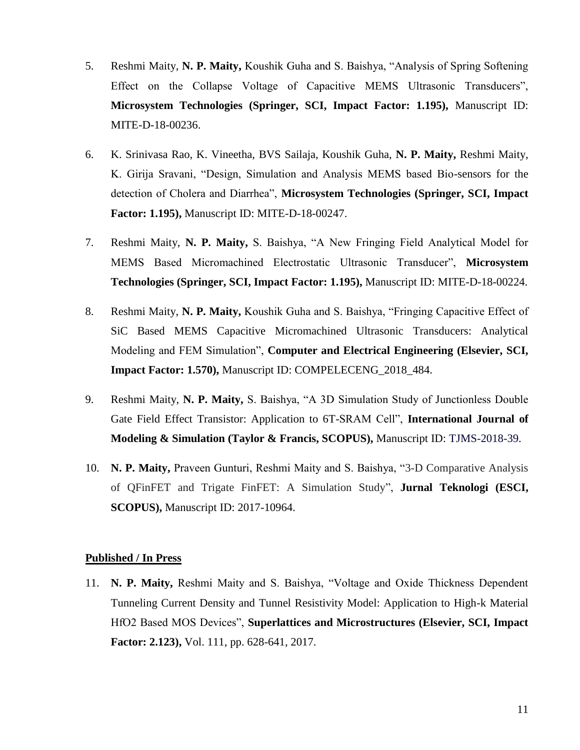- 5. Reshmi Maity, **N. P. Maity,** Koushik Guha and S. Baishya, "Analysis of Spring Softening Effect on the Collapse Voltage of Capacitive MEMS Ultrasonic Transducers", **Microsystem Technologies (Springer, SCI, Impact Factor: 1.195),** Manuscript ID: MITE-D-18-00236.
- 6. K. Srinivasa Rao, K. Vineetha, BVS Sailaja, Koushik Guha, **N. P. Maity,** Reshmi Maity, K. Girija Sravani, "Design, Simulation and Analysis MEMS based Bio-sensors for the detection of Cholera and Diarrhea", **Microsystem Technologies (Springer, SCI, Impact Factor: 1.195),** Manuscript ID: MITE-D-18-00247.
- 7. Reshmi Maity, **N. P. Maity,** S. Baishya, "A New Fringing Field Analytical Model for MEMS Based Micromachined Electrostatic Ultrasonic Transducer", **Microsystem Technologies (Springer, SCI, Impact Factor: 1.195),** Manuscript ID: MITE-D-18-00224.
- 8. Reshmi Maity, **N. P. Maity,** Koushik Guha and S. Baishya, "Fringing Capacitive Effect of SiC Based MEMS Capacitive Micromachined Ultrasonic Transducers: Analytical Modeling and FEM Simulation", **Computer and Electrical Engineering (Elsevier, SCI, Impact Factor: 1.570),** Manuscript ID: COMPELECENG\_2018\_484.
- 9. Reshmi Maity, **N. P. Maity,** S. Baishya, "A 3D Simulation Study of Junctionless Double Gate Field Effect Transistor: Application to 6T-SRAM Cell", **International Journal of Modeling & Simulation (Taylor & Francis, SCOPUS),** Manuscript ID: TJMS-2018-39.
- 10. **N. P. Maity,** Praveen Gunturi, Reshmi Maity and S. Baishya, "3-D Comparative Analysis of QFinFET and Trigate FinFET: A Simulation Study", **Jurnal Teknologi (ESCI, SCOPUS),** Manuscript ID: 2017-10964.

## **Published / In Press**

11. **N. P. Maity,** Reshmi Maity and S. Baishya, "Voltage and Oxide Thickness Dependent Tunneling Current Density and Tunnel Resistivity Model: Application to High-k Material HfO2 Based MOS Devices", **Superlattices and Microstructures (Elsevier, SCI, Impact Factor: 2.123),** Vol. 111, pp. 628-641, 2017.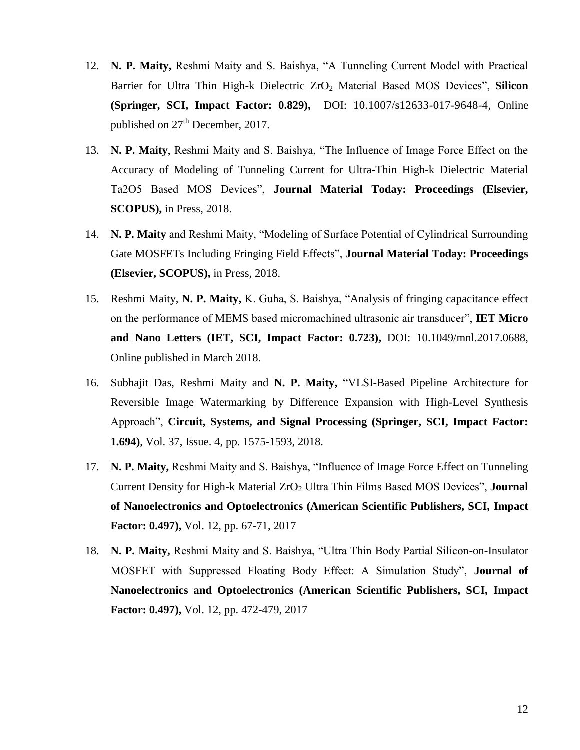- 12. **N. P. Maity,** Reshmi Maity and S. Baishya, "A Tunneling Current Model with Practical Barrier for Ultra Thin High-k Dielectric ZrO<sub>2</sub> Material Based MOS Devices", Silicon **(Springer, SCI, Impact Factor: 0.829),** DOI: 10.1007/s12633-017-9648-4, Online published on 27<sup>th</sup> December, 2017.
- 13. **N. P. Maity**, Reshmi Maity and S. Baishya, "The Influence of Image Force Effect on the Accuracy of Modeling of Tunneling Current for Ultra-Thin High-k Dielectric Material Ta2O5 Based MOS Devices", **Journal Material Today: Proceedings (Elsevier, SCOPUS),** in Press, 2018.
- 14. **N. P. Maity** and Reshmi Maity, "Modeling of Surface Potential of Cylindrical Surrounding Gate MOSFETs Including Fringing Field Effects", **Journal Material Today: Proceedings (Elsevier, SCOPUS),** in Press, 2018.
- 15. Reshmi Maity, **N. P. Maity,** K. Guha, S. Baishya, "Analysis of fringing capacitance effect on the performance of MEMS based micromachined ultrasonic air transducer", **IET Micro and Nano Letters (IET, SCI, Impact Factor: 0.723),** DOI: [10.1049/mnl.2017.0688,](http://dx.doi.org/10.1049/mnl.2017.0688) Online published in March 2018.
- 16. Subhajit Das, Reshmi Maity and **N. P. Maity,** "VLSI-Based Pipeline Architecture for Reversible Image Watermarking by Difference Expansion with High-Level Synthesis Approach", **Circuit, Systems, and Signal Processing (Springer, SCI, Impact Factor: 1.694)**, Vol. 37, Issue. 4, pp. 1575-1593, 2018.
- 17. **N. P. Maity,** Reshmi Maity and S. Baishya, "Influence of Image Force Effect on Tunneling Current Density for High-k Material ZrO<sub>2</sub> Ultra Thin Films Based MOS Devices", **Journal of Nanoelectronics and Optoelectronics (American Scientific Publishers, SCI, Impact Factor: 0.497),** Vol. 12, pp. 67-71, 2017
- 18. **N. P. Maity,** Reshmi Maity and S. Baishya, "Ultra Thin Body Partial Silicon-on-Insulator MOSFET with Suppressed Floating Body Effect: A Simulation Study", **Journal of Nanoelectronics and Optoelectronics (American Scientific Publishers, SCI, Impact Factor: 0.497),** Vol. 12, pp. 472-479, 2017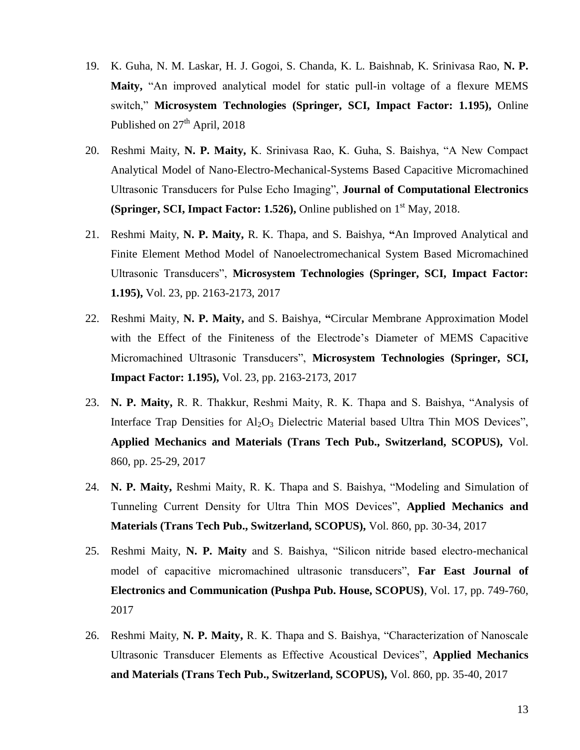- 19. K. Guha, N. M. Laskar, H. J. Gogoi, S. Chanda, K. L. Baishnab, K. Srinivasa Rao, **N. P. Maity,** "An improved analytical model for static pull-in voltage of a flexure MEMS switch," **Microsystem Technologies (Springer, SCI, Impact Factor: 1.195),** Online Published on  $27<sup>th</sup>$  April, 2018
- 20. Reshmi Maity, **N. P. Maity,** K. Srinivasa Rao, K. Guha, S. Baishya, "A New Compact Analytical Model of Nano-Electro-Mechanical-Systems Based Capacitive Micromachined Ultrasonic Transducers for Pulse Echo Imaging", **Journal of Computational Electronics (Springer, SCI, Impact Factor: 1.526), Online published on 1<sup>st</sup> May, 2018.**
- 21. Reshmi Maity, **N. P. Maity,** R. K. Thapa, and S. Baishya, **"**An Improved Analytical and Finite Element Method Model of Nanoelectromechanical System Based Micromachined Ultrasonic Transducers", **Microsystem Technologies (Springer, SCI, Impact Factor: 1.195),** Vol. 23, pp. 2163-2173, 2017
- 22. Reshmi Maity, **N. P. Maity,** and S. Baishya, **"**Circular Membrane Approximation Model with the Effect of the Finiteness of the Electrode's Diameter of MEMS Capacitive Micromachined Ultrasonic Transducers", **Microsystem Technologies (Springer, SCI, Impact Factor: 1.195),** Vol. 23, pp. 2163-2173, 2017
- 23. **N. P. Maity,** R. R. Thakkur, Reshmi Maity, R. K. Thapa and S. Baishya, "Analysis of Interface Trap Densities for  $A<sub>12</sub>O<sub>3</sub>$  Dielectric Material based Ultra Thin MOS Devices", **Applied Mechanics and Materials (Trans Tech Pub., Switzerland, SCOPUS),** Vol. 860, pp. 25-29, 2017
- 24. **N. P. Maity,** Reshmi Maity, R. K. Thapa and S. Baishya, "Modeling and Simulation of Tunneling Current Density for Ultra Thin MOS Devices", **Applied Mechanics and Materials (Trans Tech Pub., Switzerland, SCOPUS),** Vol. 860, pp. 30-34, 2017
- 25. Reshmi Maity, **N. P. Maity** and S. Baishya, "Silicon nitride based electro-mechanical model of capacitive micromachined ultrasonic transducers", **Far East Journal of Electronics and Communication (Pushpa Pub. House, SCOPUS)**, Vol. 17, pp. 749-760, 2017
- 26. Reshmi Maity, **N. P. Maity,** R. K. Thapa and S. Baishya, "Characterization of Nanoscale Ultrasonic Transducer Elements as Effective Acoustical Devices", **Applied Mechanics and Materials (Trans Tech Pub., Switzerland, SCOPUS),** Vol. 860, pp. 35-40, 2017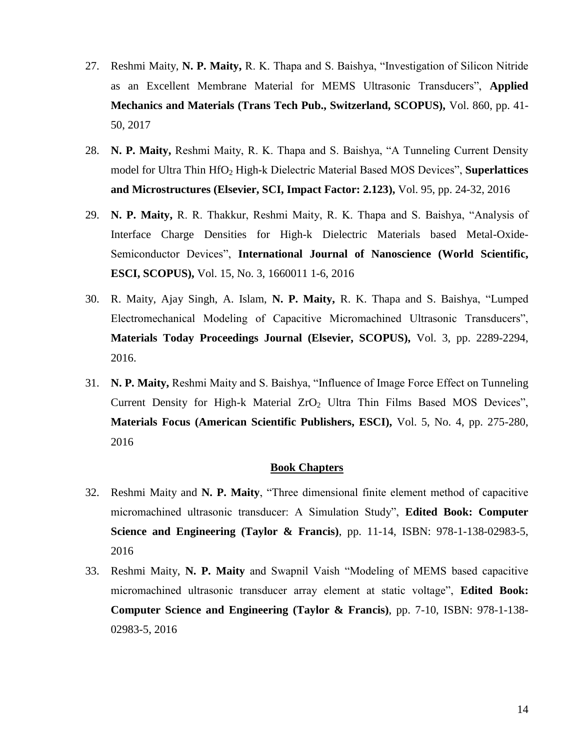- 27. Reshmi Maity, **N. P. Maity,** R. K. Thapa and S. Baishya, "Investigation of Silicon Nitride as an Excellent Membrane Material for MEMS Ultrasonic Transducers", **Applied Mechanics and Materials (Trans Tech Pub., Switzerland, SCOPUS),** Vol. 860, pp. 41- 50, 2017
- 28. **N. P. Maity,** Reshmi Maity, R. K. Thapa and S. Baishya, "A Tunneling Current Density model for Ultra Thin HfO<sup>2</sup> High-k Dielectric Material Based MOS Devices", **Superlattices and Microstructures (Elsevier, SCI, Impact Factor: 2.123),** Vol. 95, pp. 24-32, 2016
- 29. **N. P. Maity,** R. R. Thakkur, Reshmi Maity, R. K. Thapa and S. Baishya, "Analysis of Interface Charge Densities for High-k Dielectric Materials based Metal-Oxide-Semiconductor Devices", **International Journal of Nanoscience (World Scientific, ESCI, SCOPUS),** Vol. 15, No. 3, 1660011 1-6, 2016
- 30. R. Maity, Ajay Singh, A. Islam, **N. P. Maity,** R. K. Thapa and S. Baishya, "Lumped Electromechanical Modeling of Capacitive Micromachined Ultrasonic Transducers", **Materials Today Proceedings Journal (Elsevier, SCOPUS),** Vol. 3, pp. 2289-2294, 2016.
- 31. **N. P. Maity,** Reshmi Maity and S. Baishya, "Influence of Image Force Effect on Tunneling Current Density for High-k Material  $ZrO<sub>2</sub>$  Ultra Thin Films Based MOS Devices", **Materials Focus (American Scientific Publishers, ESCI),** Vol. 5, No. 4, pp. 275-280, 2016

#### **Book Chapters**

- 32. Reshmi Maity and **N. P. Maity**, "Three dimensional finite element method of capacitive micromachined ultrasonic transducer: A Simulation Study", **Edited Book: Computer Science and Engineering (Taylor & Francis)**, pp. 11-14, ISBN: 978-1-138-02983-5, 2016
- 33. Reshmi Maity, **N. P. Maity** and Swapnil Vaish "Modeling of MEMS based capacitive micromachined ultrasonic transducer array element at static voltage", **Edited Book: Computer Science and Engineering (Taylor & Francis)**, pp. 7-10, ISBN: 978-1-138- 02983-5, 2016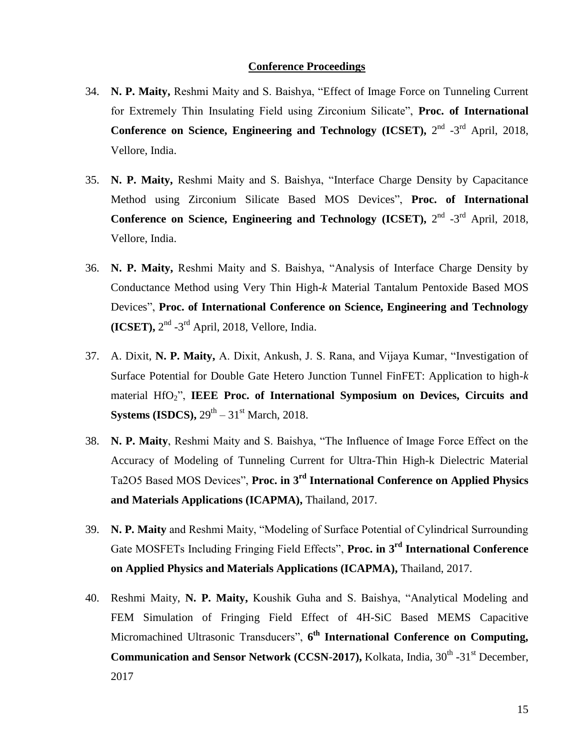#### **Conference Proceedings**

- 34. **N. P. Maity,** Reshmi Maity and S. Baishya, "Effect of Image Force on Tunneling Current for Extremely Thin Insulating Field using Zirconium Silicate", **Proc. of International Conference on Science, Engineering and Technology (ICSET),**  $2^{nd}$   $-3^{rd}$  April, 2018, Vellore, India.
- 35. **N. P. Maity,** Reshmi Maity and S. Baishya, "Interface Charge Density by Capacitance Method using Zirconium Silicate Based MOS Devices", **Proc. of International Conference on Science, Engineering and Technology (ICSET),**  $2^{nd}$  **-3<sup>rd</sup> April, 2018,** Vellore, India.
- 36. **N. P. Maity,** Reshmi Maity and S. Baishya, "Analysis of Interface Charge Density by Conductance Method using Very Thin High-*k* Material Tantalum Pentoxide Based MOS Devices", **Proc. of International Conference on Science, Engineering and Technology**   $(ICSET)$ ,  $2<sup>nd</sup> - 3<sup>rd</sup>$  April, 2018, Vellore, India.
- 37. A. Dixit, **N. P. Maity,** A. Dixit, Ankush, J. S. Rana, and Vijaya Kumar, "Investigation of Surface Potential for Double Gate Hetero Junction Tunnel FinFET: Application to high-*k* material HfO2", **IEEE Proc. of International Symposium on Devices, Circuits and Systems** (**ISDCS**),  $29^{\text{th}} - 31^{\text{st}}$  March, 2018.
- 38. **N. P. Maity**, Reshmi Maity and S. Baishya, "The Influence of Image Force Effect on the Accuracy of Modeling of Tunneling Current for Ultra-Thin High-k Dielectric Material Ta2O5 Based MOS Devices", **Proc. in 3 rd International Conference on Applied Physics and Materials Applications (ICAPMA),** Thailand, 2017.
- 39. **N. P. Maity** and Reshmi Maity, "Modeling of Surface Potential of Cylindrical Surrounding Gate MOSFETs Including Fringing Field Effects", **Proc. in 3 rd International Conference on Applied Physics and Materials Applications (ICAPMA),** Thailand, 2017.
- 40. Reshmi Maity, **N. P. Maity,** Koushik Guha and S. Baishya, "Analytical Modeling and FEM Simulation of Fringing Field Effect of 4H-SiC Based MEMS Capacitive Micromachined Ultrasonic Transducers", **6 th International Conference on Computing, Communication and Sensor Network (CCSN-2017), Kolkata, India, 30<sup>th</sup> -31<sup>st</sup> December,** 2017